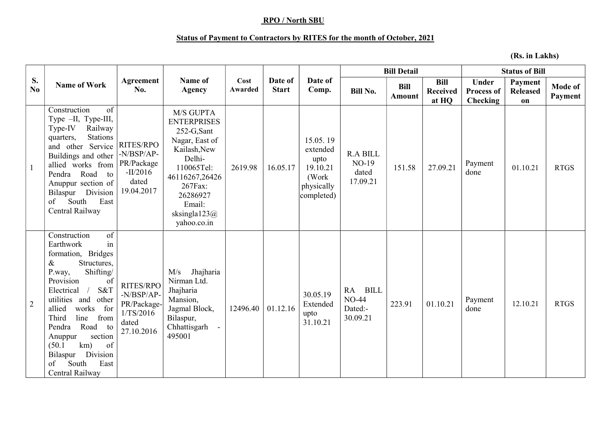## RPO / North SBU

## Status of Payment to Contractors by RITES for the month of October, 2021

(Rs. in Lakhs)

| S.<br>No.      | <b>Name of Work</b>                                                                                                                                                                                                                                                                                                                                                | Agreement<br>No.                                                              | Name of<br><b>Agency</b>                                                                                                                                                                     | Cost<br>Awarded | Date of<br><b>Start</b> | Date of<br>Comp.                                                               | <b>Bill Detail</b>                                       |                              |                                         | <b>Status of Bill</b>                                |                                  |                           |
|----------------|--------------------------------------------------------------------------------------------------------------------------------------------------------------------------------------------------------------------------------------------------------------------------------------------------------------------------------------------------------------------|-------------------------------------------------------------------------------|----------------------------------------------------------------------------------------------------------------------------------------------------------------------------------------------|-----------------|-------------------------|--------------------------------------------------------------------------------|----------------------------------------------------------|------------------------------|-----------------------------------------|------------------------------------------------------|----------------------------------|---------------------------|
|                |                                                                                                                                                                                                                                                                                                                                                                    |                                                                               |                                                                                                                                                                                              |                 |                         |                                                                                | <b>Bill No.</b>                                          | <b>Bill</b><br><b>Amount</b> | <b>Bill</b><br><b>Received</b><br>at HQ | <b>Under</b><br><b>Process of</b><br><b>Checking</b> | Payment<br><b>Released</b><br>on | <b>Mode of</b><br>Payment |
| $\mathbf{1}$   | of<br>Construction<br>Type -II, Type-III,<br>Type-IV<br>Railway<br>Stations<br>quarters,<br>and other Service<br>Buildings and other<br>allied works from<br>Pendra<br>Road to<br>Anuppur section of<br>Bilaspur Division<br>South<br>East<br>of<br>Central Railway                                                                                                | RITES/RPO<br>$-N/BSP/AP$ -<br>PR/Package<br>$-II/2016$<br>dated<br>19.04.2017 | M/S GUPTA<br><b>ENTERPRISES</b><br>252-G,Sant<br>Nagar, East of<br>Kailash, New<br>Delhi-<br>110065Tel:<br>46116267,26426<br>267Fax:<br>26286927<br>Email:<br>sksingla $123@$<br>yahoo.co.in | 2619.98         | 16.05.17                | 15.05.19<br>extended<br>upto<br>19.10.21<br>(Work)<br>physically<br>completed) | <b>R.A BILL</b><br>NO-19<br>dated<br>17.09.21            | 151.58                       | 27.09.21                                | Payment<br>done                                      | 01.10.21                         | <b>RTGS</b>               |
| $\overline{2}$ | of<br>Construction<br>in<br>Earthwork<br>formation, Bridges<br>Structures,<br>$\&$<br>Shifting/<br>P.way,<br>Provision<br>of<br>S&T<br>Electrical<br>utilities and<br>other<br>allied<br>works<br>for<br>line<br>Third<br>from<br>Road to<br>Pendra<br>section<br>Anuppur<br>km)<br>of<br>(50.1)<br>Division<br>Bilaspur<br>East<br>South<br>of<br>Central Railway | RITES/RPO<br>-N/BSP/AP-<br>PR/Package-<br>1/TS/2016<br>dated<br>27.10.2016    | Jhajharia<br>M/s<br>Nirman Ltd.<br>Jhajharia<br>Mansion,<br>Jagmal Block,<br>Bilaspur,<br>Chhattisgarh<br>495001                                                                             | 12496.40        | 01.12.16                | 30.05.19<br>Extended<br>upto<br>31.10.21                                       | <b>BILL</b><br>RA<br><b>NO-44</b><br>Dated:-<br>30.09.21 | 223.91                       | 01.10.21                                | Payment<br>done                                      | 12.10.21                         | <b>RTGS</b>               |